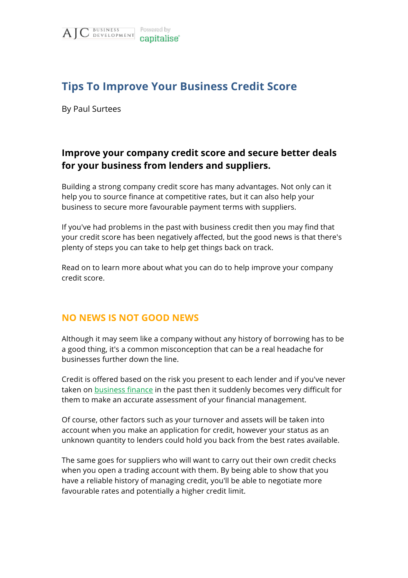

# **Tips To Improve Your Business Credit Score**

By Paul Surtees

# **Improve your company credit score and secure better deals for your business from lenders and suppliers.**

Building a strong company credit score has many advantages. Not only can it help you to source finance at competitive rates, but it can also help your business to secure more favourable payment terms with suppliers.

If you've had problems in the past with business credit then you may find that your credit score has been negatively affected, but the good news is that there's plenty of steps you can take to help get things back on track.

Read on to learn more about what you can do to help improve your company credit score.

## **NO NEWS IS NOT GOOD NEWS**

Although it may seem like a company without any history of borrowing has to be a good thing, it's a common misconception that can be a real headache for businesses further down the line.

Credit is offered based on the risk you present to each lender and if you've never taken on [business finance](https://capitalise.com/finance-options?utm_source=ajc-business-development&utm_medium=website-pdfs) in the past then it suddenly becomes very difficult for them to make an accurate assessment of your financial management.

Of course, other factors such as your turnover and assets will be taken into account when you make an application for credit, however your status as an unknown quantity to lenders could hold you back from the best rates available.

The same goes for suppliers who will want to carry out their own credit checks when you open a trading account with them. By being able to show that you have a reliable history of managing credit, you'll be able to negotiate more favourable rates and potentially a higher credit limit.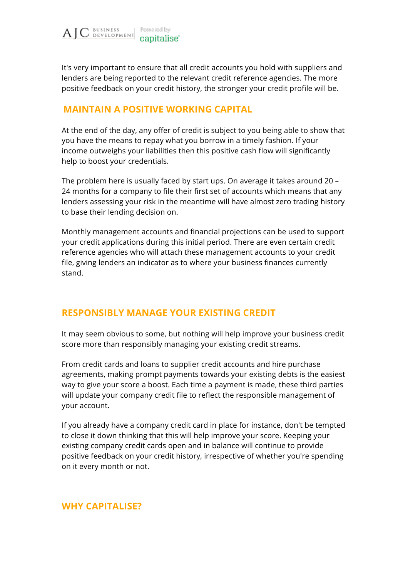

It's very important to ensure that all credit accounts you hold with suppliers and lenders are being reported to the relevant credit reference agencies. The more positive feedback on your credit history, the stronger your credit profile will be.

### **MAINTAIN A POSITIVE WORKING CAPITAL**

At the end of the day, any offer of credit is subject to you being able to show that you have the means to repay what you borrow in a timely fashion. If your income outweighs your liabilities then this positive cash flow will significantly help to boost your credentials.

The problem here is usually faced by start ups. On average it takes around 20 – 24 months for a company to file their first set of accounts which means that any lenders assessing your risk in the meantime will have almost zero trading history to base their lending decision on.

Monthly management accounts and financial projections can be used to support your credit applications during this initial period. There are even certain credit reference agencies who will attach these management accounts to your credit file, giving lenders an indicator as to where your business finances currently stand.

#### **RESPONSIBLY MANAGE YOUR EXISTING CREDIT**

It may seem obvious to some, but nothing will help improve your business credit score more than responsibly managing your existing credit streams.

From credit cards and loans to supplier credit accounts and hire purchase agreements, making prompt payments towards your existing debts is the easiest way to give your score a boost. Each time a payment is made, these third parties will update your company credit file to reflect the responsible management of your account.

If you already have a company credit card in place for instance, don't be tempted to close it down thinking that this will help improve your score. Keeping your existing company credit cards open and in balance will continue to provide positive feedback on your credit history, irrespective of whether you're spending on it every month or not.

#### **WHY CAPITALISE?**